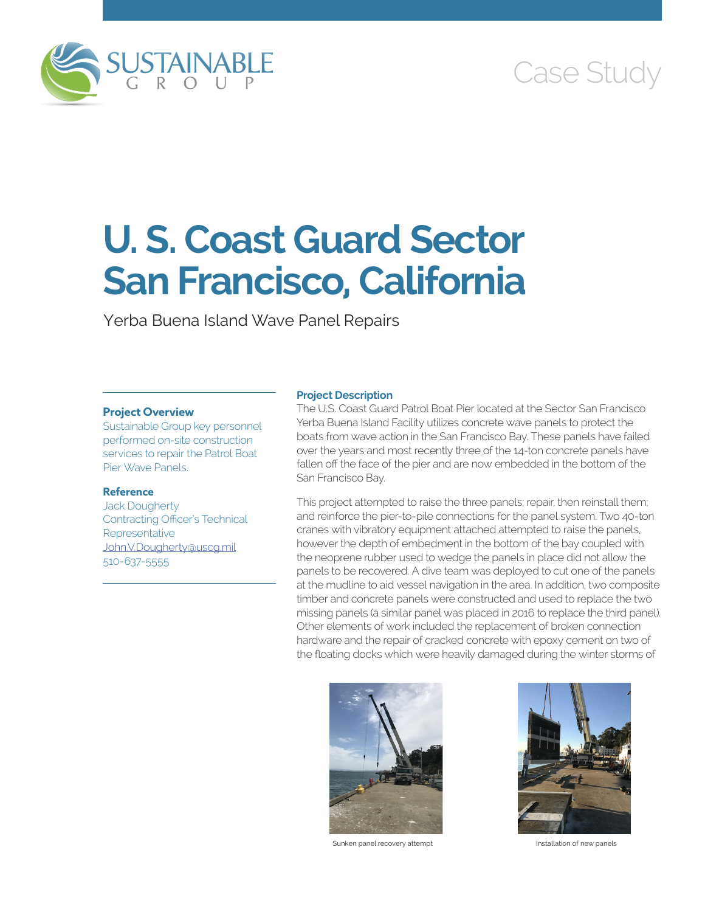

# Case Study

# **U. S. Coast Guard Sector San Francisco, California**

Yerba Buena Island Wave Panel Repairs

# **Project Overview**

Sustainable Group key personnel performed on-site construction services to repair the Patrol Boat Pier Wave Panels.

# **Reference**

Jack Dougherty Contracting Officer's Technical Representative [John.V.Dougherty@uscg.mil](mailto:John.V.Dougherty@uscg.mil) 510-637-5555

# **Project Description**

The U.S. Coast Guard Patrol Boat Pier located at the Sector San Francisco Yerba Buena Island Facility utilizes concrete wave panels to protect the boats from wave action in the San Francisco Bay. These panels have failed over the years and most recently three of the 14-ton concrete panels have fallen off the face of the pier and are now embedded in the bottom of the San Francisco Bay.

This project attempted to raise the three panels; repair, then reinstall them; and reinforce the pier-to-pile connections for the panel system. Two 40-ton cranes with vibratory equipment attached attempted to raise the panels, however the depth of embedment in the bottom of the bay coupled with the neoprene rubber used to wedge the panels in place did not allow the panels to be recovered. A dive team was deployed to cut one of the panels at the mudline to aid vessel navigation in the area. In addition, two composite timber and concrete panels were constructed and used to replace the two missing panels (a similar panel was placed in 2016 to replace the third panel). Other elements of work included the replacement of broken connection hardware and the repair of cracked concrete with epoxy cement on two of the floating docks which were heavily damaged during the winter storms of



Sunken panel recovery attempt **Installation of new panels**